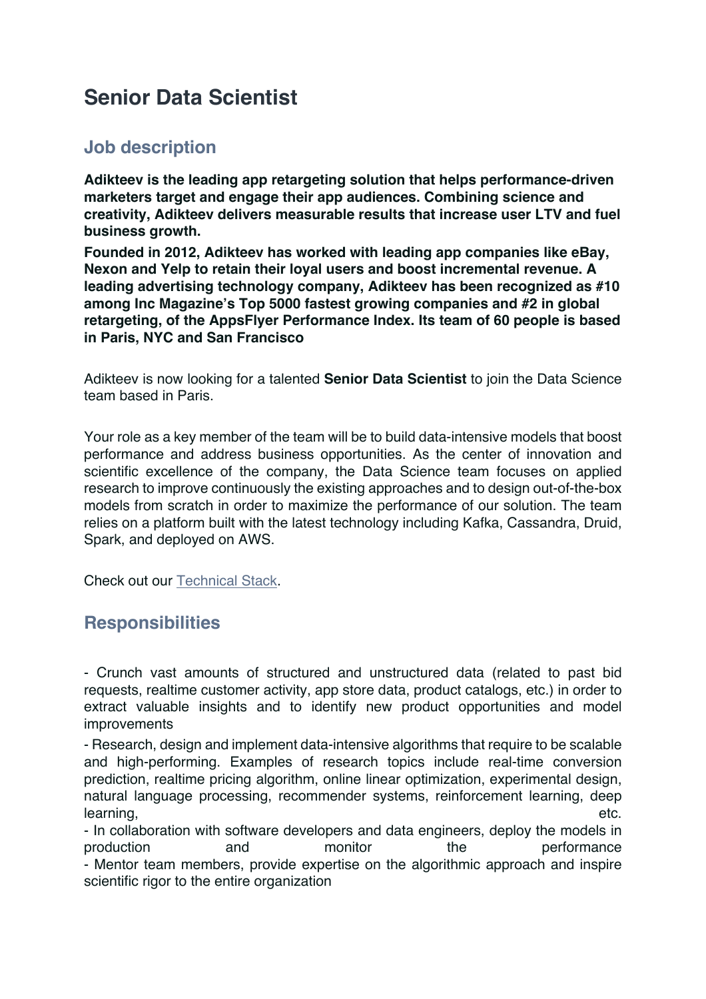## **Senior Data Scientist**

## **Job description**

**Adikteev is the leading app retargeting solution that helps performance-driven marketers target and engage their app audiences. Combining science and creativity, Adikteev delivers measurable results that increase user LTV and fuel business growth.**

**Founded in 2012, Adikteev has worked with leading app companies like eBay, Nexon and Yelp to retain their loyal users and boost incremental revenue. A leading advertising technology company, Adikteev has been recognized as #10 among Inc Magazine's Top 5000 fastest growing companies and #2 in global retargeting, of the AppsFlyer Performance Index. Its team of 60 people is based in Paris, NYC and San Francisco**

Adikteev is now looking for a talented **Senior Data Scientist** to join the Data Science team based in Paris.

Your role as a key member of the team will be to build data-intensive models that boost performance and address business opportunities. As the center of innovation and scientific excellence of the company, the Data Science team focuses on applied research to improve continuously the existing approaches and to design out-of-the-box models from scratch in order to maximize the performance of our solution. The team relies on a platform built with the latest technology including Kafka, Cassandra, Druid, Spark, and deployed on AWS.

Check out our Technical Stack.

## **Responsibilities**

- Crunch vast amounts of structured and unstructured data (related to past bid requests, realtime customer activity, app store data, product catalogs, etc.) in order to extract valuable insights and to identify new product opportunities and model improvements

- Research, design and implement data-intensive algorithms that require to be scalable and high-performing. Examples of research topics include real-time conversion prediction, realtime pricing algorithm, online linear optimization, experimental design, natural language processing, recommender systems, reinforcement learning, deep learning, etc.

- In collaboration with software developers and data engineers, deploy the models in production and monitor the performance - Mentor team members, provide expertise on the algorithmic approach and inspire scientific rigor to the entire organization